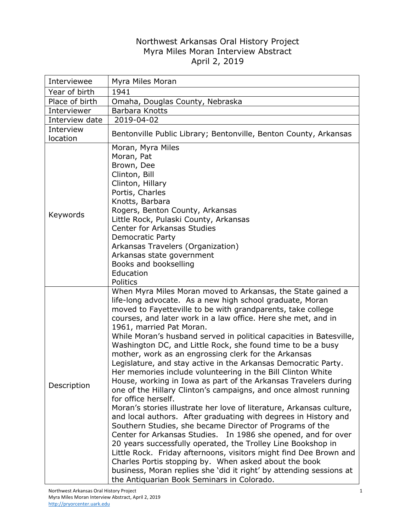## Northwest Arkansas Oral History Project Myra Miles Moran Interview Abstract April 2, 2019

| Interviewee           | Myra Miles Moran                                                                                                                                                                                                                                                                                                                                                                                                                                                                                                                                                                                                                                                                                                                                                                                                                                                                                                                                                                                                                                                                                                                                                                                                                                                                                                                                                           |
|-----------------------|----------------------------------------------------------------------------------------------------------------------------------------------------------------------------------------------------------------------------------------------------------------------------------------------------------------------------------------------------------------------------------------------------------------------------------------------------------------------------------------------------------------------------------------------------------------------------------------------------------------------------------------------------------------------------------------------------------------------------------------------------------------------------------------------------------------------------------------------------------------------------------------------------------------------------------------------------------------------------------------------------------------------------------------------------------------------------------------------------------------------------------------------------------------------------------------------------------------------------------------------------------------------------------------------------------------------------------------------------------------------------|
| Year of birth         | 1941                                                                                                                                                                                                                                                                                                                                                                                                                                                                                                                                                                                                                                                                                                                                                                                                                                                                                                                                                                                                                                                                                                                                                                                                                                                                                                                                                                       |
| Place of birth        | Omaha, Douglas County, Nebraska                                                                                                                                                                                                                                                                                                                                                                                                                                                                                                                                                                                                                                                                                                                                                                                                                                                                                                                                                                                                                                                                                                                                                                                                                                                                                                                                            |
| Interviewer           | Barbara Knotts                                                                                                                                                                                                                                                                                                                                                                                                                                                                                                                                                                                                                                                                                                                                                                                                                                                                                                                                                                                                                                                                                                                                                                                                                                                                                                                                                             |
| Interview date        | 2019-04-02                                                                                                                                                                                                                                                                                                                                                                                                                                                                                                                                                                                                                                                                                                                                                                                                                                                                                                                                                                                                                                                                                                                                                                                                                                                                                                                                                                 |
| Interview<br>location | Bentonville Public Library; Bentonville, Benton County, Arkansas                                                                                                                                                                                                                                                                                                                                                                                                                                                                                                                                                                                                                                                                                                                                                                                                                                                                                                                                                                                                                                                                                                                                                                                                                                                                                                           |
| Keywords              | Moran, Myra Miles<br>Moran, Pat<br>Brown, Dee<br>Clinton, Bill<br>Clinton, Hillary<br>Portis, Charles<br>Knotts, Barbara<br>Rogers, Benton County, Arkansas<br>Little Rock, Pulaski County, Arkansas<br><b>Center for Arkansas Studies</b><br><b>Democratic Party</b><br>Arkansas Travelers (Organization)<br>Arkansas state government<br>Books and bookselling<br>Education<br>Politics                                                                                                                                                                                                                                                                                                                                                                                                                                                                                                                                                                                                                                                                                                                                                                                                                                                                                                                                                                                  |
| Description           | When Myra Miles Moran moved to Arkansas, the State gained a<br>life-long advocate. As a new high school graduate, Moran<br>moved to Fayetteville to be with grandparents, take college<br>courses, and later work in a law office. Here she met, and in<br>1961, married Pat Moran.<br>While Moran's husband served in political capacities in Batesville,<br>Washington DC, and Little Rock, she found time to be a busy<br>mother, work as an engrossing clerk for the Arkansas<br>Legislature, and stay active in the Arkansas Democratic Party.<br>Her memories include volunteering in the Bill Clinton White<br>House, working in Iowa as part of the Arkansas Travelers during<br>one of the Hillary Clinton's campaigns, and once almost running<br>for office herself.<br>Moran's stories illustrate her love of literature, Arkansas culture,<br>and local authors. After graduating with degrees in History and<br>Southern Studies, she became Director of Programs of the<br>Center for Arkansas Studies. In 1986 she opened, and for over<br>20 years successfully operated, the Trolley Line Bookshop in<br>Little Rock. Friday afternoons, visitors might find Dee Brown and<br>Charles Portis stopping by. When asked about the book<br>business, Moran replies she 'did it right' by attending sessions at<br>the Antiquarian Book Seminars in Colorado. |